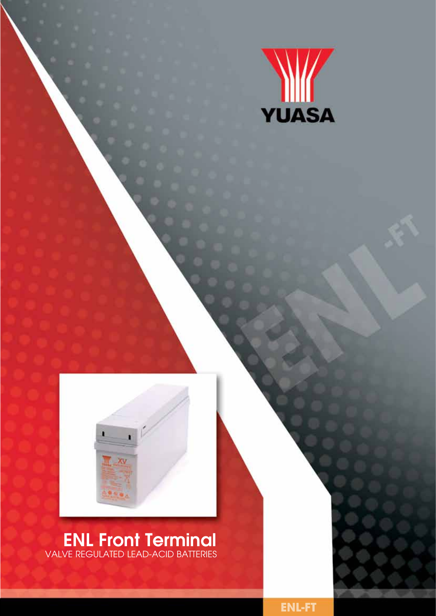



ENL Front Terminal valve regulated lead-acid batteries

**ENL-FT**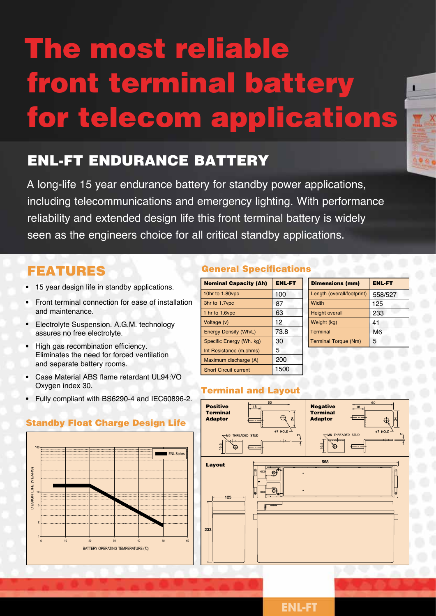# The most reliable front terminal battery for telecom applications

## ENL-FT Endurance Battery

A long-life 15 year endurance battery for standby power applications, including telecommunications and emergency lighting. With performance reliability and extended design life this front terminal battery is widely seen as the engineers choice for all critical standby applications.

## Features

- 15 year design life in standby applications.
- Front terminal connection for ease of installation and maintenance.
- Electrolyte Suspension. A.G.M. technology assures no free electrolyte.
- High gas recombination efficiency. Eliminates the need for forced ventilation and separate battery rooms.
- Case Material ABS flame retardant UL94:VO Oxygen index 30.
- Fully compliant with BS6290-4 and IEC60896-2.

#### General Specifications

| <b>Nominal Capacity (Ah)</b> | <b>ENL-FT</b> |
|------------------------------|---------------|
| 10hr to 1.80vpc              | 100           |
| 3hr to 1.7vpc                | 87            |
| 1 hr to 1.6vpc               | 63            |
| Voltage (v)                  | 12            |
| <b>Energy Density (Wh/L)</b> | 73.8          |
| Specific Energy (Wh. kg)     | 30            |
| Int Resistance (m.ohms)      | 5             |
| Maximum discharge (A)        | 200           |
| <b>Short Circuit current</b> | 1500          |

| <b>Dimensions (mm)</b>      | <b>ENL-FT</b>  |  |
|-----------------------------|----------------|--|
| Length (overall/footprint)  | 558/527        |  |
| Width                       | 125            |  |
| <b>Height overall</b>       | 233            |  |
| Weight (kg)                 | 41             |  |
| <b>Terminal</b>             | M <sub>6</sub> |  |
| <b>Terminal Torque (Nm)</b> | 5              |  |

#### Terminal and Layout





#### **ENL-FT**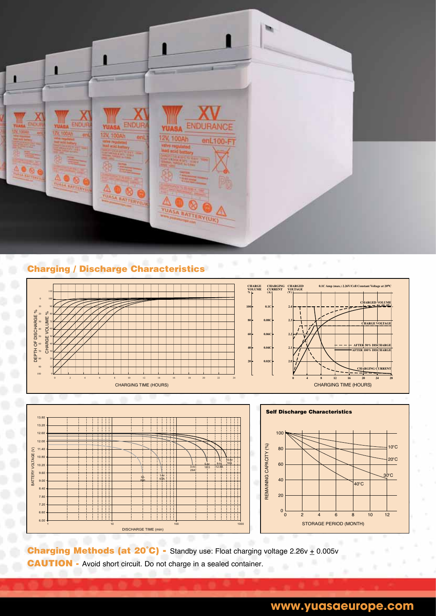

#### Charging / Discharge Characteristics CHARGING CHARACTERISTICS CHARGING CHARACTERISTICS







**Charging Methods (at 20°C) -** Standby use: Float charging voltage  $2.26v + 0.005v$ CAUTION - Avoid short circuit. Do not charge in a sealed container.